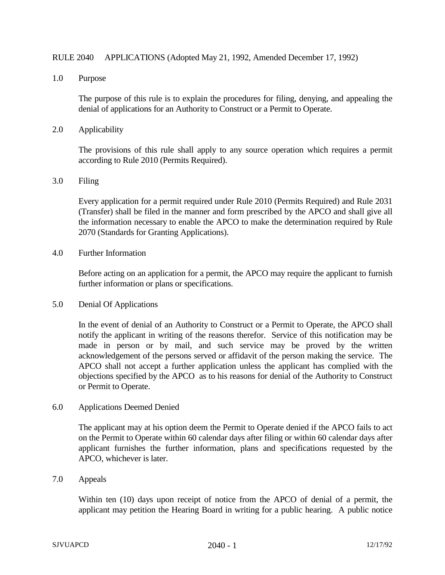## RULE 2040 APPLICATIONS (Adopted May 21, 1992, Amended December 17, 1992)

1.0 Purpose

The purpose of this rule is to explain the procedures for filing, denying, and appealing the denial of applications for an Authority to Construct or a Permit to Operate.

2.0 Applicability

The provisions of this rule shall apply to any source operation which requires a permit according to Rule 2010 (Permits Required).

3.0 Filing

Every application for a permit required under Rule 2010 (Permits Required) and Rule 2031 (Transfer) shall be filed in the manner and form prescribed by the APCO and shall give all the information necessary to enable the APCO to make the determination required by Rule 2070 (Standards for Granting Applications).

4.0 Further Information

Before acting on an application for a permit, the APCO may require the applicant to furnish further information or plans or specifications.

5.0 Denial Of Applications

In the event of denial of an Authority to Construct or a Permit to Operate, the APCO shall notify the applicant in writing of the reasons therefor. Service of this notification may be made in person or by mail, and such service may be proved by the written acknowledgement of the persons served or affidavit of the person making the service. The APCO shall not accept a further application unless the applicant has complied with the objections specified by the APCO as to his reasons for denial of the Authority to Construct or Permit to Operate.

6.0 Applications Deemed Denied

The applicant may at his option deem the Permit to Operate denied if the APCO fails to act on the Permit to Operate within 60 calendar days after filing or within 60 calendar days after applicant furnishes the further information, plans and specifications requested by the APCO, whichever is later.

7.0 Appeals

Within ten (10) days upon receipt of notice from the APCO of denial of a permit, the applicant may petition the Hearing Board in writing for a public hearing. A public notice